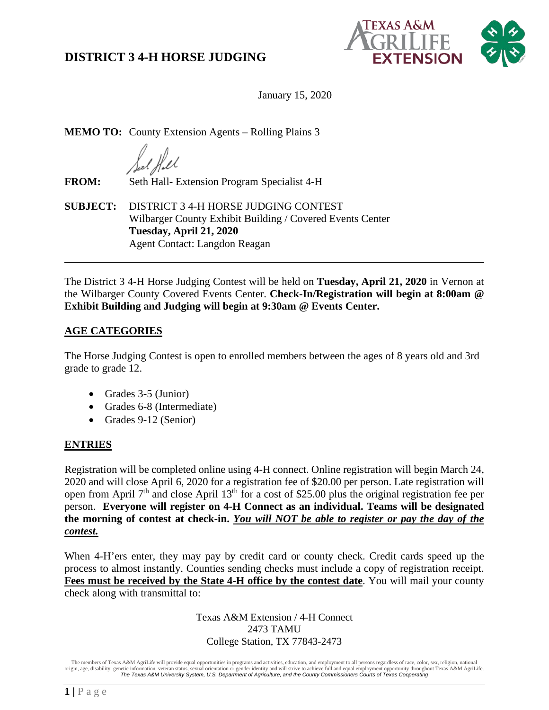

January 15, 2020

**MEMO TO:** County Extension Agents – Rolling Plains 3

**FROM:** Seth Hall- Extension Program Specialist 4-H

**SUBJECT:** DISTRICT 3 4-H HORSE JUDGING CONTEST Wilbarger County Exhibit Building / Covered Events Center **Tuesday, April 21, 2020** Agent Contact: Langdon Reagan

The District 3 4-H Horse Judging Contest will be held on **Tuesday, April 21, 2020** in Vernon at the Wilbarger County Covered Events Center. **Check-In/Registration will begin at 8:00am @ Exhibit Building and Judging will begin at 9:30am @ Events Center.**

### **AGE CATEGORIES**

The Horse Judging Contest is open to enrolled members between the ages of 8 years old and 3rd grade to grade 12.

- Grades 3-5 (Junior)
- Grades 6-8 (Intermediate)
- Grades 9-12 (Senior)

### **ENTRIES**

Registration will be completed online using 4-H connect. Online registration will begin March 24, 2020 and will close April 6, 2020 for a registration fee of \$20.00 per person. Late registration will open from April 7th and close April 13th for a cost of \$25.00 plus the original registration fee per person. **Everyone will register on 4-H Connect as an individual. Teams will be designated the morning of contest at check-in.** *You will NOT be able to register or pay the day of the contest.*

When 4-H'ers enter, they may pay by credit card or county check. Credit cards speed up the process to almost instantly. Counties sending checks must include a copy of registration receipt. **Fees must be received by the State 4-H office by the contest date**. You will mail your county check along with transmittal to:

> Texas A&M Extension / 4-H Connect 2473 TAMU College Station, TX 77843-2473

The members of Texas A&M AgriLife will provide equal opportunities in programs and activities, education, and employment to all persons regardless of race, color, sex, religion, national origin, age, disability, genetic information, veteran status, sexual orientation or gender identity and will strive to achieve full and equal employment opportunity throughout Texas A&M AgriLife. *The Texas A&M University System, U.S. Department of Agriculture, and the County Commissioners Courts of Texas Cooperating*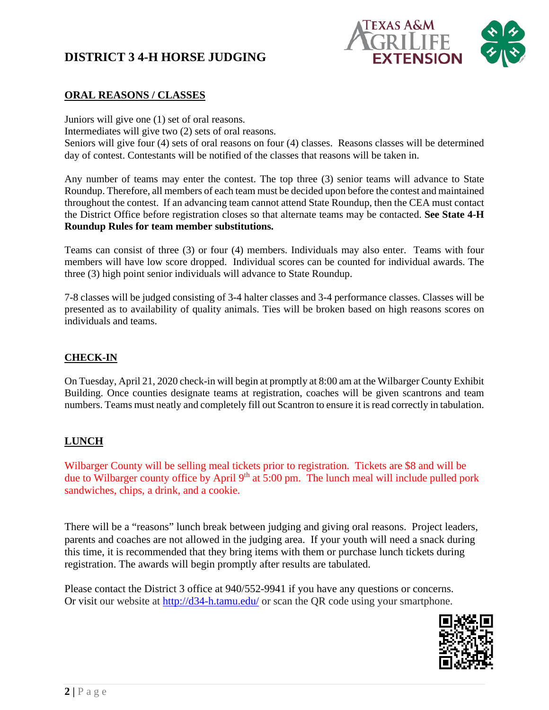# **DISTRICT 3 4-H HORSE JUDGING**



#### **ORAL REASONS / CLASSES**

Juniors will give one (1) set of oral reasons. Intermediates will give two (2) sets of oral reasons. Seniors will give four (4) sets of oral reasons on four (4) classes. Reasons classes will be determined day of contest. Contestants will be notified of the classes that reasons will be taken in.

Any number of teams may enter the contest. The top three (3) senior teams will advance to State Roundup. Therefore, all members of each team must be decided upon before the contest and maintained throughout the contest. If an advancing team cannot attend State Roundup, then the CEA must contact the District Office before registration closes so that alternate teams may be contacted. **See State 4-H Roundup Rules for team member substitutions.** 

Teams can consist of three (3) or four (4) members. Individuals may also enter. Teams with four members will have low score dropped. Individual scores can be counted for individual awards. The three (3) high point senior individuals will advance to State Roundup.

7-8 classes will be judged consisting of 3-4 halter classes and 3-4 performance classes. Classes will be presented as to availability of quality animals. Ties will be broken based on high reasons scores on individuals and teams.

#### **CHECK-IN**

On Tuesday, April 21, 2020 check-in will begin at promptly at 8:00 am at the Wilbarger County Exhibit Building. Once counties designate teams at registration, coaches will be given scantrons and team numbers. Teams must neatly and completely fill out Scantron to ensure it is read correctly in tabulation.

#### **LUNCH**

Wilbarger County will be selling meal tickets prior to registration. Tickets are \$8 and will be due to Wilbarger county office by April  $9<sup>th</sup>$  at 5:00 pm. The lunch meal will include pulled pork sandwiches, chips, a drink, and a cookie.

There will be a "reasons" lunch break between judging and giving oral reasons. Project leaders, parents and coaches are not allowed in the judging area. If your youth will need a snack during this time, it is recommended that they bring items with them or purchase lunch tickets during registration. The awards will begin promptly after results are tabulated.

Please contact the District 3 office at 940/552-9941 if you have any questions or concerns. Or visit our website at<http://d34-h.tamu.edu/> or scan the QR code using your smartphone.

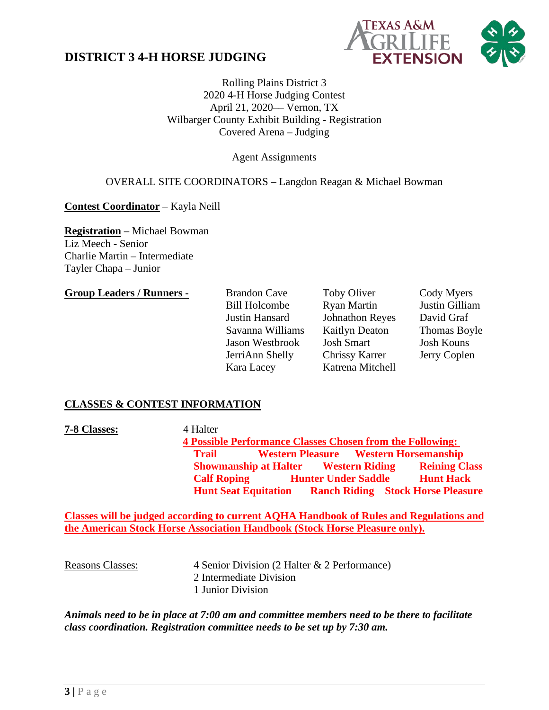## **DISTRICT 3 4-H HORSE JUDGING**



Rolling Plains District 3 2020 4-H Horse Judging Contest April 21, 2020–– Vernon, TX Wilbarger County Exhibit Building - Registration Covered Arena – Judging

Agent Assignments

#### OVERALL SITE COORDINATORS – Langdon Reagan & Michael Bowman

**Contest Coordinator** – Kayla Neill

**Registration** – Michael Bowman Liz Meech - Senior Charlie Martin – Intermediate Tayler Chapa – Junior

#### **Group Leaders / Runners -** Brandon Cave Toby Oliver Cody Myers

Bill Holcombe Ryan Martin Justin Gilliam Justin Hansard Johnathon Reyes David Graf Savanna Williams Kaitlyn Deaton Thomas Boyle Jason Westbrook Josh Smart Josh Kouns JerriAnn Shelly Chrissy Karrer Jerry Coplen Kara Lacey Katrena Mitchell

### **CLASSES & CONTEST INFORMATION**

**7-8 Classes:** 4 Halter **4 Possible Performance Classes Chosen from the Following: Trail Western Pleasure Western Horsemanship Showmanship at Halter Western Riding Reining Class Calf Roping Hunter Under Saddle Hunt Hack Hunt Seat Equitation Ranch Riding Stock Horse Pleasure**

**Classes will be judged according to current AQHA Handbook of Rules and Regulations and the American Stock Horse Association Handbook (Stock Horse Pleasure only).**

Reasons Classes: 4 Senior Division (2 Halter & 2 Performance) 2 Intermediate Division 1 Junior Division

*Animals need to be in place at 7:00 am and committee members need to be there to facilitate class coordination. Registration committee needs to be set up by 7:30 am.*